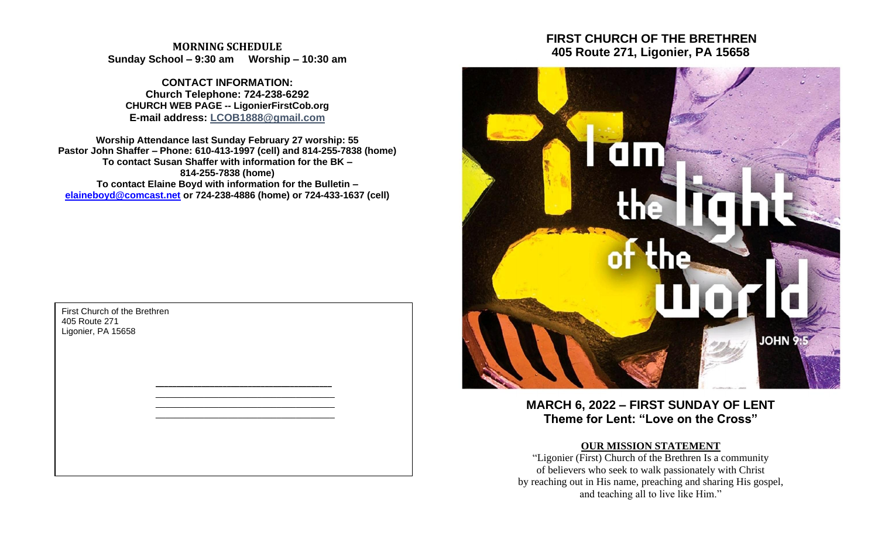# **MORNING SCHEDULE Sunday School – 9:30 am Worship – 10:30 am**

**CONTACT INFORMATION: Church Telephone: 724-238-6292 CHURCH WEB PAGE -- LigonierFirstCob.org E-mail address: LCOB1888@gmail.com**

**Worship Attendance last Sunday February 27 worship: 55 Pastor John Shaffer – Phone: 610-413-1997 (cell) and 814-255-7838 (home) To contact Susan Shaffer with information for the BK – 814-255-7838 (home) To contact Elaine Boyd with information for the Bulletin – [elaineboyd@comcast.net](mailto:elaineboyd@comcast.net) or 724-238-4886 (home) or 724-433-1637 (cell)**

> **\_\_\_\_\_\_\_\_\_\_\_\_\_\_\_\_\_\_\_\_\_\_\_\_\_\_\_\_\_\_\_\_\_\_\_\_\_\_\_\_\_\_** \_\_\_\_\_\_\_\_\_\_\_\_\_\_\_\_\_\_\_\_\_\_\_\_\_\_\_\_\_\_\_\_\_\_\_\_\_ \_\_\_\_\_\_\_\_\_\_\_\_\_\_\_\_\_\_\_\_\_\_\_\_\_\_\_\_\_\_\_\_\_\_\_\_\_ \_\_\_\_\_\_\_\_\_\_\_\_\_\_\_\_\_\_\_\_\_\_\_\_\_\_\_\_\_\_\_\_\_\_\_\_\_

First Church of the Brethren 405 Route 271 Ligonier, PA 15658

# **FIRST CHURCH OF THE BRETHREN 405 Route 271, Ligonier, PA 15658**



**MARCH 6, 2022 – FIRST SUNDAY OF LENT Theme for Lent: "Love on the Cross"**

# **OUR MISSION STATEMENT**

"Ligonier (First) Church of the Brethren Is a community of believers who seek to walk passionately with Christ by reaching out in His name, preaching and sharing His gospel, and teaching all to live like Him."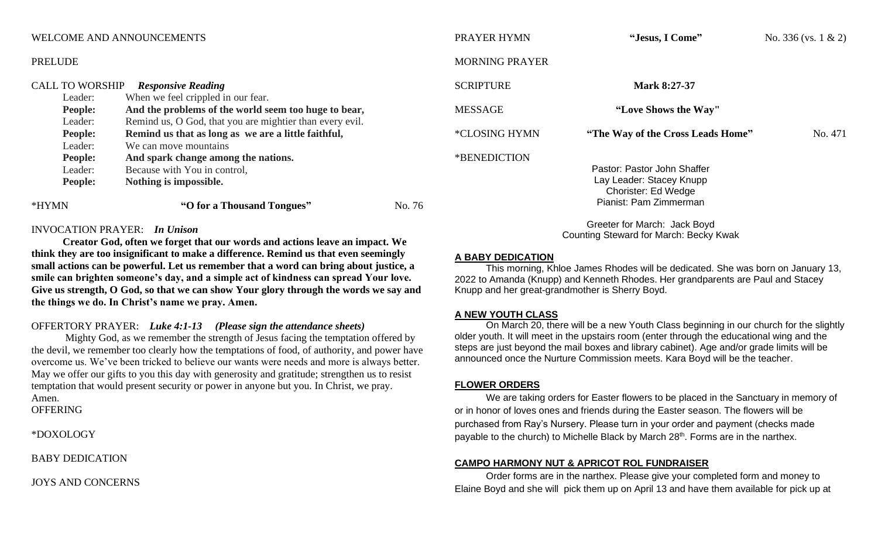## WELCOME AND ANNOUNCEMENTS

#### PRELUDE

|       | <b>CALL TO WORSHIP</b> | <b>Responsive Reading</b>                                |        |
|-------|------------------------|----------------------------------------------------------|--------|
|       | Leader:                | When we feel crippled in our fear.                       |        |
|       | <b>People:</b>         | And the problems of the world seem too huge to bear,     |        |
|       | Leader:                | Remind us, O God, that you are mightier than every evil. |        |
|       | <b>People:</b>         | Remind us that as long as we are a little faithful,      |        |
|       | Leader:                | We can move mountains                                    |        |
|       | <b>People:</b>         | And spark change among the nations.                      |        |
|       | Leader:                | Because with You in control,                             |        |
|       | <b>People:</b>         | Nothing is impossible.                                   |        |
| *HYMN |                        | "O for a Thousand Tongues"                               | No. 76 |

#### INVOCATION PRAYER: *In Unison*

**Creator God, often we forget that our words and actions leave an impact. We think they are too insignificant to make a difference. Remind us that even seemingly small actions can be powerful. Let us remember that a word can bring about justice, a smile can brighten someone's day, and a simple act of kindness can spread Your love. Give us strength, O God, so that we can show Your glory through the words we say and the things we do. In Christ's name we pray. Amen.**

# OFFERTORY PRAYER: *Luke 4:1-13 (Please sign the attendance sheets)*

Mighty God, as we remember the strength of Jesus facing the temptation offered by the devil, we remember too clearly how the temptations of food, of authority, and power have overcome us. We've been tricked to believe our wants were needs and more is always better. May we offer our gifts to you this day with generosity and gratitude; strengthen us to resist temptation that would present security or power in anyone but you. In Christ, we pray. Amen. **OFFERING** 

\*DOXOLOGY

BABY DEDICATION

JOYS AND CONCERNS

| PRAYER HYMN           | "Jesus, I Come"                                                                                          | No. $336$ (vs. 1 & 2) |
|-----------------------|----------------------------------------------------------------------------------------------------------|-----------------------|
| <b>MORNING PRAYER</b> |                                                                                                          |                       |
| <b>SCRIPTURE</b>      | Mark 8:27-37                                                                                             |                       |
| <b>MESSAGE</b>        | "Love Shows the Way"                                                                                     |                       |
| *CLOSING HYMN         | "The Way of the Cross Leads Home"                                                                        | No. 471               |
| *BENEDICTION          | Pastor: Pastor John Shaffer<br>Lay Leader: Stacey Knupp<br>Chorister: Ed Wedge<br>Pianist: Pam Zimmerman |                       |
|                       | Greeter for March: Jack Boyd<br><b>Counting Steward for March: Becky Kwak</b>                            |                       |

#### **A BABY DEDICATION**

This morning, Khloe James Rhodes will be dedicated. She was born on January 13, 2022 to Amanda (Knupp) and Kenneth Rhodes. Her grandparents are Paul and Stacey Knupp and her great-grandmother is Sherry Boyd.

#### **A NEW YOUTH CLASS**

On March 20, there will be a new Youth Class beginning in our church for the slightly older youth. It will meet in the upstairs room (enter through the educational wing and the steps are just beyond the mail boxes and library cabinet). Age and/or grade limits will be announced once the Nurture Commission meets. Kara Boyd will be the teacher.

#### **FLOWER ORDERS**

We are taking orders for Easter flowers to be placed in the Sanctuary in memory of or in honor of loves ones and friends during the Easter season. The flowers will be purchased from Ray's Nursery. Please turn in your order and payment (checks made payable to the church) to Michelle Black by March 28<sup>th</sup>. Forms are in the narthex.

### **CAMPO HARMONY NUT & APRICOT ROL FUNDRAISER**

Order forms are in the narthex. Please give your completed form and money to Elaine Boyd and she will pick them up on April 13 and have them available for pick up at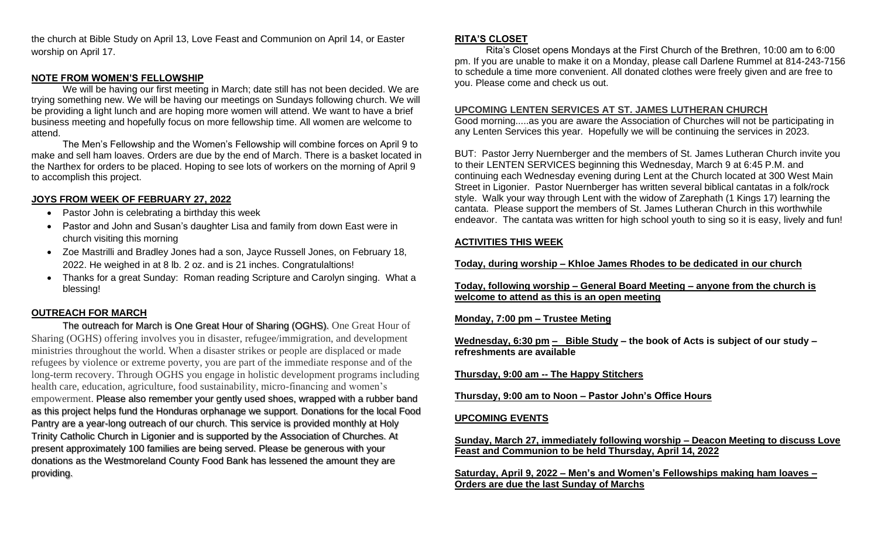the church at Bible Study on April 13, Love Feast and Communion on April 14, or Easter worship on April 17.

## **NOTE FROM WOMEN'S FELLOWSHIP**

We will be having our first meeting in March; date still has not been decided. We are trying something new. We will be having our meetings on Sundays following church. We will be providing a light lunch and are hoping more women will attend. We want to have a brief business meeting and hopefully focus on more fellowship time. All women are welcome to attend.

The Men's Fellowship and the Women's Fellowship will combine forces on April 9 to make and sell ham loaves. Orders are due by the end of March. There is a basket located in the Narthex for orders to be placed. Hoping to see lots of workers on the morning of April 9 to accomplish this project.

## **JOYS FROM WEEK OF FEBRUARY 27, 2022**

- Pastor John is celebrating a birthday this week
- Pastor and John and Susan's daughter Lisa and family from down East were in church visiting this morning
- Zoe Mastrilli and Bradley Jones had a son, Jayce Russell Jones, on February 18, 2022. He weighed in at 8 lb. 2 oz. and is 21 inches. Congratulaltions!
- Thanks for a great Sunday: Roman reading Scripture and Carolyn singing. What a blessing!

# **OUTREACH FOR MARCH**

The outreach for March is One Great Hour of Sharing (OGHS). One Great Hour of Sharing (OGHS) offering involves you in disaster, refugee/immigration, and development ministries throughout the world. When a disaster strikes or people are displaced or made refugees by violence or extreme poverty, you are part of the immediate response and of the long-term recovery. Through OGHS you engage in holistic development programs including health care, education, agriculture, food sustainability, micro-financing and women's empowerment. Please also remember your gently used shoes, wrapped with a rubber band as this project helps fund the Honduras orphanage we support. Donations for the local Food Pantry are a year-long outreach of our church. This service is provided monthly at Holy Trinity Catholic Church in Ligonier and is supported by the Association of Churches. At present approximately 100 families are being served. Please be generous with your donations as the Westmoreland County Food Bank has lessened the amount they are providing.

#### **RITA'S CLOSET**

Rita's Closet opens Mondays at the First Church of the Brethren, 10:00 am to 6:00 pm. If you are unable to make it on a Monday, please call Darlene Rummel at 814-243-7156 to schedule a time more convenient. All donated clothes were freely given and are free to you. Please come and check us out.

#### **UPCOMING LENTEN SERVICES AT ST. JAMES LUTHERAN CHURCH**

Good morning.....as you are aware the Association of Churches will not be participating in any Lenten Services this year. Hopefully we will be continuing the services in 2023.

BUT: Pastor Jerry Nuernberger and the members of St. James Lutheran Church invite you to their LENTEN SERVICES beginning this Wednesday, March 9 at 6:45 P.M. and continuing each Wednesday evening during Lent at the Church located at 300 West Main Street in Ligonier. Pastor Nuernberger has written several biblical cantatas in a folk/rock style. Walk your way through Lent with the widow of Zarephath (1 Kings 17) learning the cantata. Please support the members of St. James Lutheran Church in this worthwhile endeavor. The cantata was written for high school youth to sing so it is easy, lively and fun!

## **ACTIVITIES THIS WEEK**

**Today, during worship – Khloe James Rhodes to be dedicated in our church**

**Today, following worship – General Board Meeting – anyone from the church is welcome to attend as this is an open meeting**

### **Monday, 7:00 pm – Trustee Meting**

**Wednesday, 6:30 pm – Bible Study – the book of Acts is subject of our study – refreshments are available**

### **Thursday, 9:00 am -- The Happy Stitchers**

**Thursday, 9:00 am to Noon – Pastor John's Office Hours**

### **UPCOMING EVENTS**

**Sunday, March 27, immediately following worship – Deacon Meeting to discuss Love Feast and Communion to be held Thursday, April 14, 2022**

**Saturday, April 9, 2022 – Men's and Women's Fellowships making ham loaves – Orders are due the last Sunday of Marchs**